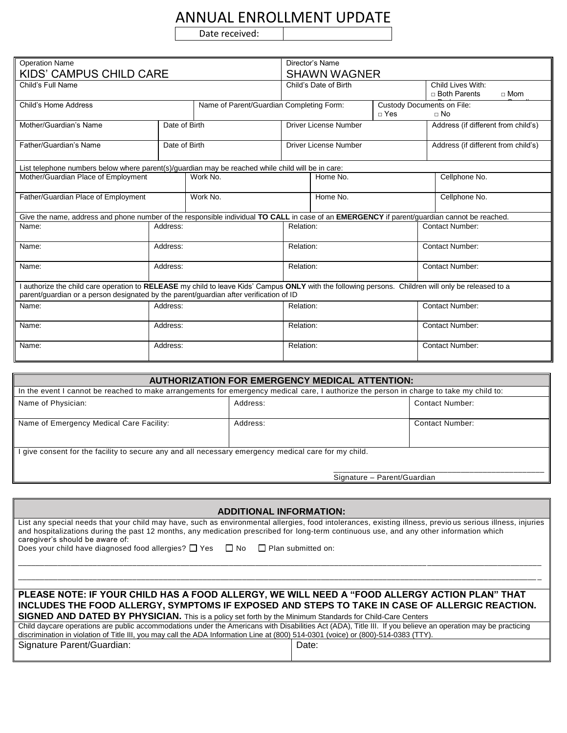## ANNUAL ENROLLMENT UPDATE

Date received:

| <b>Operation Name</b>                                                                                                                                                                                                                         |               |                                          | Director's Name       |                                                   |                                                   |                                     |
|-----------------------------------------------------------------------------------------------------------------------------------------------------------------------------------------------------------------------------------------------|---------------|------------------------------------------|-----------------------|---------------------------------------------------|---------------------------------------------------|-------------------------------------|
| <b>KIDS' CAMPUS CHILD CARE</b>                                                                                                                                                                                                                |               |                                          | <b>SHAWN WAGNER</b>   |                                                   |                                                   |                                     |
| Child's Full Name                                                                                                                                                                                                                             |               | Child's Date of Birth                    |                       |                                                   | Child Lives With:<br>□ Both Parents<br>$\Box$ Mom |                                     |
| Child's Home Address                                                                                                                                                                                                                          |               | Name of Parent/Guardian Completing Form: |                       | <b>Custody Documents on File:</b><br>$\sqcap$ Yes | $\Box$ No                                         |                                     |
| Mother/Guardian's Name                                                                                                                                                                                                                        | Date of Birth |                                          | Driver License Number |                                                   |                                                   | Address (if different from child's) |
| Father/Guardian's Name                                                                                                                                                                                                                        | Date of Birth | Driver License Number                    |                       |                                                   | Address (if different from child's)               |                                     |
| List telephone numbers below where parent(s)/guardian may be reached while child will be in care:                                                                                                                                             |               |                                          |                       |                                                   |                                                   |                                     |
| Mother/Guardian Place of Employment                                                                                                                                                                                                           |               | Work No.<br>Home No.                     |                       |                                                   | Cellphone No.                                     |                                     |
| Father/Guardian Place of Employment                                                                                                                                                                                                           |               | Work No.                                 | Home No.              |                                                   |                                                   | Cellphone No.                       |
| Give the name, address and phone number of the responsible individual TO CALL in case of an EMERGENCY if parent/guardian cannot be reached.                                                                                                   |               |                                          |                       |                                                   |                                                   |                                     |
| Name:                                                                                                                                                                                                                                         | Address:      |                                          | Relation:             |                                                   |                                                   | <b>Contact Number:</b>              |
| Name:                                                                                                                                                                                                                                         | Address:      |                                          | Relation:             |                                                   |                                                   | <b>Contact Number:</b>              |
| Name:                                                                                                                                                                                                                                         | Address:      |                                          | Relation:             |                                                   |                                                   | <b>Contact Number:</b>              |
| I authorize the child care operation to RELEASE my child to leave Kids' Campus ONLY with the following persons. Children will only be released to a<br>parent/guardian or a person designated by the parent/guardian after verification of ID |               |                                          |                       |                                                   |                                                   |                                     |
| Name:                                                                                                                                                                                                                                         | Address:      |                                          | Relation:             |                                                   |                                                   | <b>Contact Number:</b>              |
| Name:                                                                                                                                                                                                                                         | Address:      |                                          | Relation:             |                                                   |                                                   | <b>Contact Number:</b>              |
| Name:                                                                                                                                                                                                                                         | Address:      |                                          | Relation:             |                                                   |                                                   | <b>Contact Number:</b>              |

| <b>AUTHORIZATION FOR EMERGENCY MEDICAL ATTENTION:</b>                                                                                   |          |                        |  |  |  |
|-----------------------------------------------------------------------------------------------------------------------------------------|----------|------------------------|--|--|--|
| In the event I cannot be reached to make arrangements for emergency medical care, I authorize the person in charge to take my child to: |          |                        |  |  |  |
| Name of Physician:                                                                                                                      | Address: | Contact Number:        |  |  |  |
|                                                                                                                                         |          |                        |  |  |  |
| Name of Emergency Medical Care Facility:                                                                                                | Address: | <b>Contact Number:</b> |  |  |  |
|                                                                                                                                         |          |                        |  |  |  |
| give consent for the facility to secure any and all necessary emergency medical care for my child.                                      |          |                        |  |  |  |
|                                                                                                                                         |          |                        |  |  |  |
| Signature - Parent/Guardian                                                                                                             |          |                        |  |  |  |
|                                                                                                                                         |          |                        |  |  |  |

| <b>ADDITIONAL INFORMATION:</b>                                                                                                                                                                                                                                                                                                          |  |  |  |  |
|-----------------------------------------------------------------------------------------------------------------------------------------------------------------------------------------------------------------------------------------------------------------------------------------------------------------------------------------|--|--|--|--|
| List any special needs that your child may have, such as environmental allergies, food intolerances, existing illness, previous serious illness, injuries<br>and hospitalizations during the past 12 months, any medication prescribed for long-term continuous use, and any other information which<br>caregiver's should be aware of: |  |  |  |  |
| Does your child have diagnosed food allergies? $\Box$ Yes $\Box$ No $\Box$ Plan submitted on:                                                                                                                                                                                                                                           |  |  |  |  |
|                                                                                                                                                                                                                                                                                                                                         |  |  |  |  |
| PLEASE NOTE: IF YOUR CHILD HAS A FOOD ALLERGY, WE WILL NEED A "FOOD ALLERGY ACTION PLAN" THAT                                                                                                                                                                                                                                           |  |  |  |  |
| INCLUDES THE FOOD ALLERGY, SYMPTOMS IF EXPOSED AND STEPS TO TAKE IN CASE OF ALLERGIC REACTION.                                                                                                                                                                                                                                          |  |  |  |  |
| SIGNED AND DATED BY PHYSICIAN. This is a policy set forth by the Minimum Standards for Child-Care Centers                                                                                                                                                                                                                               |  |  |  |  |
| Child daycare operations are public accommodations under the Americans with Disabilities Act (ADA), Title III. If you believe an operation may be practicing<br>discrimination in violation of Title III, you may call the ADA Information Line at (800) 514-0301 (voice) or (800)-514-0383 (TTY).                                      |  |  |  |  |
| Signature Parent/Guardian:<br>Date:                                                                                                                                                                                                                                                                                                     |  |  |  |  |
|                                                                                                                                                                                                                                                                                                                                         |  |  |  |  |